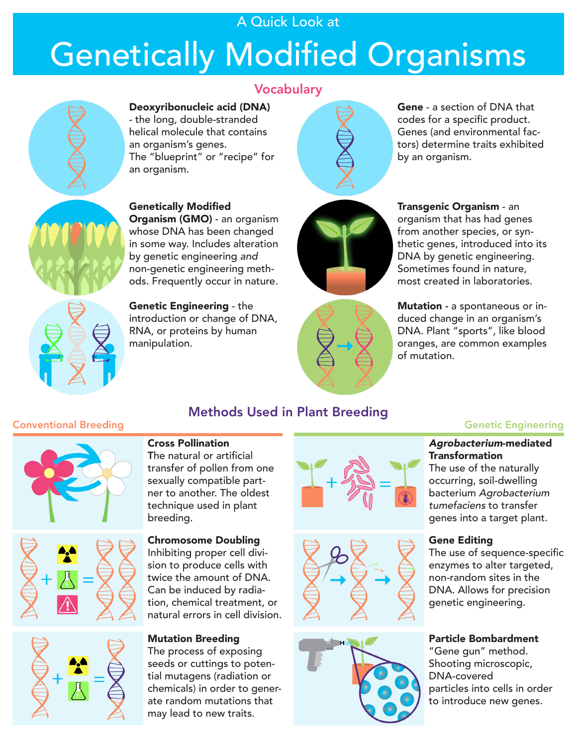# A Quick Look at

# Genetically Modified Organisms



# **Vocabulary**

Deoxyribonucleic acid (DNA) - the long, double-stranded helical molecule that contains an organism's genes. The "blueprint" or "recipe" for an organism.



Gene - a section of DNA that codes for a specific product. Genes (and environmental factors) determine traits exhibited by an organism.



Transgenic Organism - an organism that has had genes from another species, or synthetic genes, introduced into its DNA by genetic engineering. Sometimes found in nature, most created in laboratories.



Methods Used in Plant Breeding

Mutation - a spontaneous or induced change in an organism's DNA. Plant "sports", like blood oranges, are common examples of mutation.

### **Conventional Breeding Genetic Engineering**



#### Cross Pollination

The natural or artificial transfer of pollen from one sexually compatible partner to another. The oldest technique used in plant breeding.

#### Chromosome Doubling

Inhibiting proper cell division to produce cells with twice the amount of DNA. Can be induced by radiation, chemical treatment, or natural errors in cell division.

#### Mutation Breeding

The process of exposing seeds or cuttings to potential mutagens (radiation or chemicals) in order to generate random mutations that may lead to new traits.







#### *Agrobacterium*-mediated **Transformation**

The use of the naturally occurring, soil-dwelling bacterium *Agrobacterium tumefaciens* to transfer genes into a target plant.

#### Gene Editing

The use of sequence-specific enzymes to alter targeted, non-random sites in the DNA. Allows for precision genetic engineering.

#### Particle Bombardment

"Gene gun" method. Shooting microscopic, DNA-covered particles into cells in order to introduce new genes.